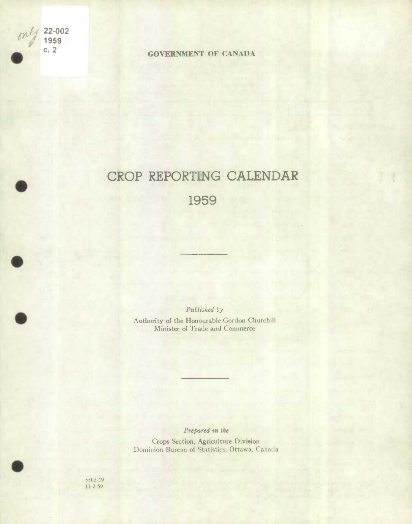

**.** 

**.** 

"j./ **22-002**  " **<sup>1959</sup>**

**c. 2 GOVERNMENT OF CANADA** 

## CROP REPORTING CALENDAR

1959

Published by Authority of the Honourable Gordon Churchill Minister of Trade and Commerce

*Prepared in ihe* 

Crops Section, Agriculture Division Dominion Bureau of Statistics, Ottawa, Canada

5502-19 1 **1-2-59**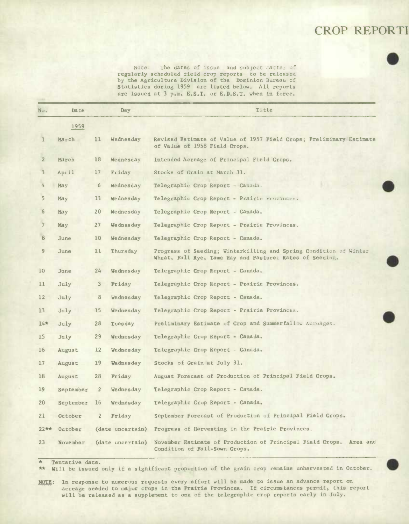## CROP REPORTI

Note: The dates of issue and subject matter of regularly scheduled field crop reports to be released by the Agriculture Division of the Dominion Bureau of **Statistics during 1959** are listed below. All reports are issued at 3 p.m. E.S.T. or E,D.S.T. when in force.

| No.               | Date          |                | Day.             | Title                                                                                                                         |
|-------------------|---------------|----------------|------------------|-------------------------------------------------------------------------------------------------------------------------------|
|                   | 1959          |                |                  |                                                                                                                               |
| 1                 | March         | 11             | Wednesday        | Revised Estimate of Value of 1957 Field Crops; Preliminary Estimate<br>of Value of 1958 Field Crops.                          |
| $\overline{2}$    | March         | 18             | Wednesday        | Intended Acreage of Principal Field Crops.                                                                                    |
| 3                 | April         | 17             | Friday           | Stocks of Grain at March 31.                                                                                                  |
|                   | May           | 6              | Wednesday        | Telegraphic Crop Report - Canada.                                                                                             |
| 5 <sub>1</sub>    | May           | 13             | Wednesday        | Telegraphic Crop Report - Prairie Provinces.                                                                                  |
| 6                 | May           | 20             | Wednesday        | Telegraphic Crop Report - Canada.                                                                                             |
| 7                 | May           | 27             | Wednesday        | Telegraphic Crop Report - Prairie Provinces.                                                                                  |
| 8                 | June          | 10             | Wednesday        | Telegraphic Crop Report - Canada.                                                                                             |
| 9                 | June          | 11             | Thursday         | Progress of Seeding; Winterkilling and Spring Condition of Winter<br>Wheat, Fall Rye, Tame Hay and Pasture; Rates of Seeding. |
| 10                | June          | $24^{2}$       | Wednesday        | Telegraphic Crop Report - Canada.                                                                                             |
| 11                | July          | $\mathbf{3}$   | Friday           | Telegraphic Crop Report - Prairie Provinces.                                                                                  |
| $12 \overline{ }$ | July          | 8              | Wednesday        | Telegraphic Crop Report - Canada.                                                                                             |
| 13                | July          | 15             | Wednesday        | Telegraphic Crop Report - Prairie Provinces.                                                                                  |
| $14*$             | July          | 28             | Tuesday          | Preliminary Estimate of Crop and Summerfallow Acreages.                                                                       |
| 15                | July          | $29^{1}$       | Wednesday        | Telegraphic Crop Report - Canada.                                                                                             |
| 16                | <b>August</b> | 12             | Wednesday        | Telegraphic Crop Report - Canada.                                                                                             |
| 17                | August        | 19             | Wednesday        | Stocks of Grain at July 31.                                                                                                   |
| 18                | August        | 28             | Friday           | August Forecast of Production of Principal Field Crops.                                                                       |
| 19                | September     | $\overline{2}$ | Wednesday        | Telegraphic Crop Report - Canada.                                                                                             |
| 20                | September     | 16             | Wednesday        | Telegraphic Crop Report - Canada.                                                                                             |
| 21                | October       | $\overline{2}$ | Friday           | September Forecast of Production of Principal Field Crops.                                                                    |
| $22**$            | October       |                | (date uncertain) | Progress of Harvesting in the Prairie Provinces.                                                                              |
| $23 -$            | November      |                | (date uncertain) | November Estimate of Production of Principal Field Crops. Area and<br>Condition of Fall-Sown Crops.                           |

*\** Tentative date.

\*\* Will be issued only if a **significant proportion** of **the grain crop remains unharvested** in **October.** 

NOTE: In response to numerous requests every effort will be made to issue an advance report on acreage seeded to major crops in the Prairie Provinces. If circumstances permit, this report will be released as a supplement to one of the telegraphic crop reports early in July.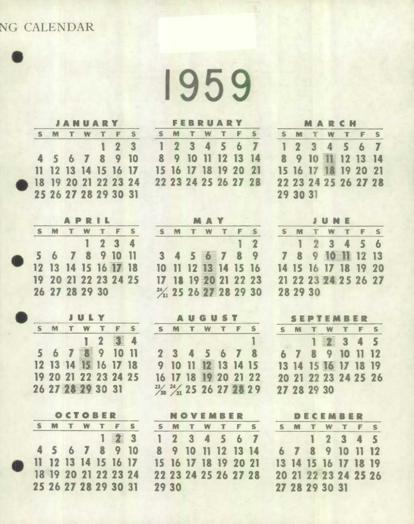## **NG CALENDAR**

**n** 

|           |  | JANUARY |  |                                              |  |
|-----------|--|---------|--|----------------------------------------------|--|
|           |  |         |  | S M T W T F S                                |  |
|           |  |         |  | 123                                          |  |
|           |  |         |  | 4 5 6 7 8 9 10                               |  |
|           |  |         |  | 11 12 13 14 15 16 17                         |  |
| $\bullet$ |  |         |  |                                              |  |
|           |  |         |  | 18 19 20 21 22 23 24<br>25 26 27 28 29 30 31 |  |

|  |                      | APRIL |           |  |
|--|----------------------|-------|-----------|--|
|  |                      |       | M T W T F |  |
|  |                      |       | 1234      |  |
|  | 5 6 7 8 9 10 11      |       |           |  |
|  |                      |       |           |  |
|  | 19 20 21 22 23 24 25 |       |           |  |
|  | 26 27 28 29 30       |       |           |  |

|  |   | JULY                 |   |  |
|--|---|----------------------|---|--|
|  | M | T W T                | F |  |
|  |   |                      |   |  |
|  |   | 5 6 7 19 10 11       |   |  |
|  |   | 12 13 14 15 16 17 18 |   |  |
|  |   | 19 20 21 22 23 24 25 |   |  |
|  |   | 26 27 28 29 30 31    |   |  |

|  | OCTOBER   |  |                      |    |
|--|-----------|--|----------------------|----|
|  | M T W T F |  |                      | S. |
|  |           |  |                      |    |
|  |           |  | 4 5 6 7 8 9 10       |    |
|  |           |  | 11 12 13 14 15 16 17 |    |
|  |           |  | 18 19 20 21 22 23 24 |    |
|  |           |  | 25 26 27 28 29 30 31 |    |

|  | <b>FEBRUARY</b> |                      |  |
|--|-----------------|----------------------|--|
|  |                 | S M T W T F S        |  |
|  |                 | 1234567              |  |
|  |                 | 8 9 10 11 12 13 14   |  |
|  |                 | 15 16 17 18 19 20 21 |  |
|  |                 | 22 23 24 25 26 27 28 |  |
|  |                 |                      |  |

| 7  |          | 1234567              |  |  |
|----|----------|----------------------|--|--|
| 14 |          | 8 9 10 11 12 13 14   |  |  |
| 21 |          | 15 16 17 18 19 20 21 |  |  |
| 28 |          | 22 23 24 25 26 27 28 |  |  |
|    | 29 30 31 |                      |  |  |
|    |          |                      |  |  |

|   | MAY |  |                       |  |        |   |  |  |  |
|---|-----|--|-----------------------|--|--------|---|--|--|--|
| S |     |  | M T W T F             |  |        | S |  |  |  |
|   |     |  |                       |  | $1\,2$ |   |  |  |  |
|   |     |  | 3 4 5 美 7 8 9         |  |        |   |  |  |  |
|   |     |  | 10 11 12 33 14 15 16  |  |        |   |  |  |  |
|   |     |  | 17 18 19 20 21 22 23  |  |        |   |  |  |  |
|   |     |  | 2/1 25 26 27 28 29 30 |  |        |   |  |  |  |

|  | <b>AUGUST</b> |  |  |
|--|---------------|--|--|
|  |               |  |  |

|                     | S M T W T F S                                               |
|---------------------|-------------------------------------------------------------|
|                     | ш                                                           |
| 2 3 4 5 6 7 8       |                                                             |
| 9 10 11 12 13 14 15 |                                                             |
|                     | 16 17 18 12 20 21 22                                        |
|                     | $\frac{23}{20}$ $\frac{24}{31}$ 25 26 27 $\frac{25}{25}$ 29 |
|                     |                                                             |

**NOVEMBER** 

|       |  | S M T W T F S        |  |
|-------|--|----------------------|--|
|       |  | 1234567              |  |
|       |  | 8 9 10 11 12 13 14   |  |
|       |  | 15 16 17 18 19 20 21 |  |
|       |  | 22 23 24 25 26 27 28 |  |
| 29 30 |  |                      |  |

|   |          | <b>JUNE</b>          |  |  |
|---|----------|----------------------|--|--|
| S | M.       | TWTFS                |  |  |
|   |          | 123456               |  |  |
|   |          | 7 8 9 10 12 13       |  |  |
|   |          | 14 15 16 17 18 19 20 |  |  |
|   |          | 21 22 23 24 25 26 27 |  |  |
|   | 28 29 30 |                      |  |  |

**MARCH SM TWT F S** 

## **SEPTEMBER**

|             | __________           |  |  |
|-------------|----------------------|--|--|
|             | S M T W T F S        |  |  |
|             | 1 辈 3 4 5            |  |  |
|             | 6 7 8 9 10 11 12     |  |  |
|             | 13 14 15 16 17 18 19 |  |  |
|             | 20 21 22 23 24 25 26 |  |  |
| 27 28 29 30 |                      |  |  |

|  | DECEMBER             |  |  |
|--|----------------------|--|--|
|  | M T W T F            |  |  |
|  | 12345                |  |  |
|  | 6 7 8 9 10 11 12     |  |  |
|  | 13 14 15 16 17 18 19 |  |  |
|  | 20 21 22 23 24 25 26 |  |  |
|  | 27 28 29 30 31       |  |  |